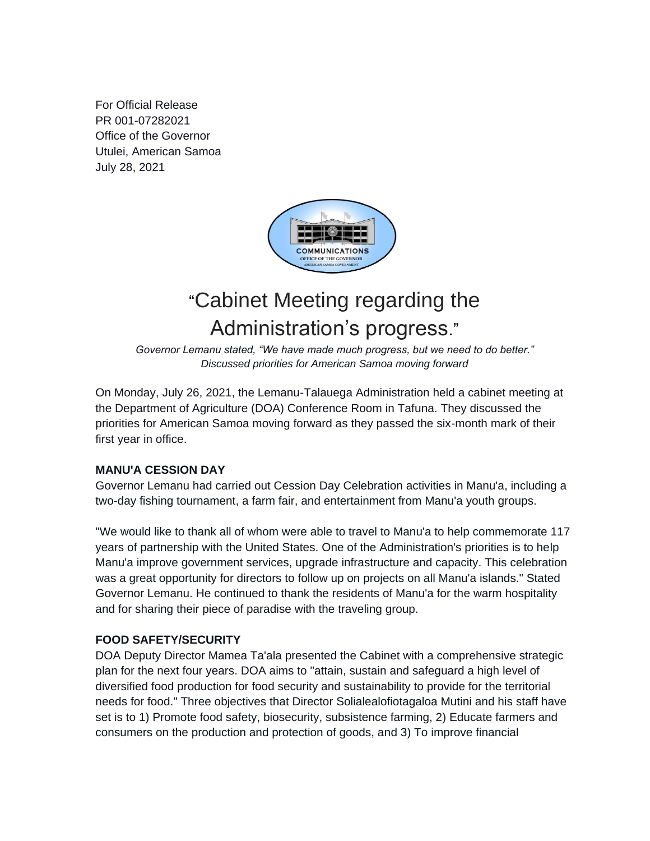For Official Release PR 001-07282021 Office of the Governor Utulei, American Samoa July 28, 2021



# "Cabinet Meeting regarding the Administration's progress."

*Governor Lemanu stated, "We have made much progress, but we need to do better." Discussed priorities for American Samoa moving forward*

On Monday, July 26, 2021, the Lemanu-Talauega Administration held a cabinet meeting at the Department of Agriculture (DOA) Conference Room in Tafuna. They discussed the priorities for American Samoa moving forward as they passed the six-month mark of their first year in office.

## **MANU'A CESSION DAY**

Governor Lemanu had carried out Cession Day Celebration activities in Manu'a, including a two-day fishing tournament, a farm fair, and entertainment from Manu'a youth groups.

"We would like to thank all of whom were able to travel to Manu'a to help commemorate 117 years of partnership with the United States. One of the Administration's priorities is to help Manu'a improve government services, upgrade infrastructure and capacity. This celebration was a great opportunity for directors to follow up on projects on all Manu'a islands." Stated Governor Lemanu. He continued to thank the residents of Manu'a for the warm hospitality and for sharing their piece of paradise with the traveling group.

## **FOOD SAFETY/SECURITY**

DOA Deputy Director Mamea Ta'ala presented the Cabinet with a comprehensive strategic plan for the next four years. DOA aims to "attain, sustain and safeguard a high level of diversified food production for food security and sustainability to provide for the territorial needs for food." Three objectives that Director Solialealofiotagaloa Mutini and his staff have set is to 1) Promote food safety, biosecurity, subsistence farming, 2) Educate farmers and consumers on the production and protection of goods, and 3) To improve financial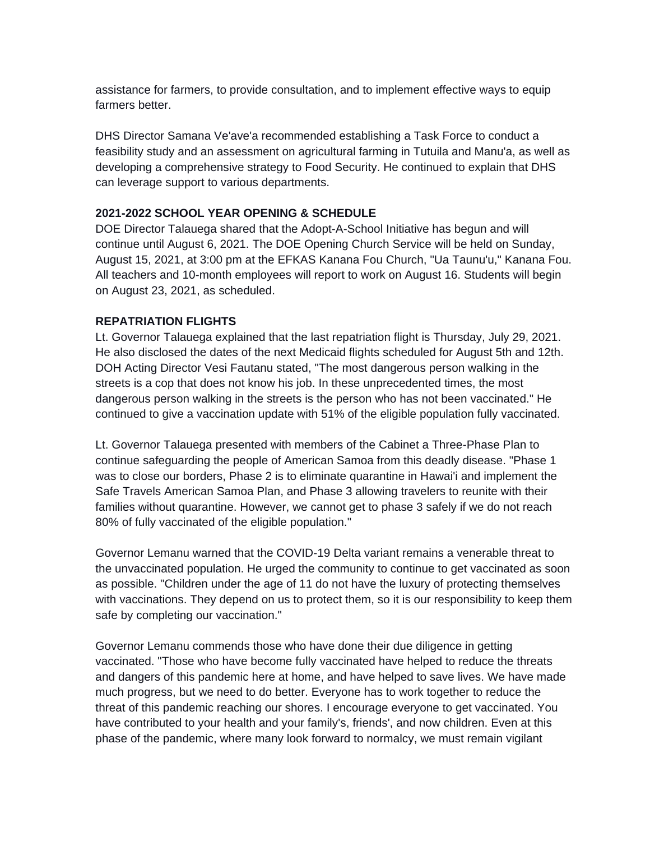assistance for farmers, to provide consultation, and to implement effective ways to equip farmers better.

DHS Director Samana Ve'ave'a recommended establishing a Task Force to conduct a feasibility study and an assessment on agricultural farming in Tutuila and Manu'a, as well as developing a comprehensive strategy to Food Security. He continued to explain that DHS can leverage support to various departments.

#### **2021-2022 SCHOOL YEAR OPENING & SCHEDULE**

DOE Director Talauega shared that the Adopt-A-School Initiative has begun and will continue until August 6, 2021. The DOE Opening Church Service will be held on Sunday, August 15, 2021, at 3:00 pm at the EFKAS Kanana Fou Church, "Ua Taunu'u," Kanana Fou. All teachers and 10-month employees will report to work on August 16. Students will begin on August 23, 2021, as scheduled.

#### **REPATRIATION FLIGHTS**

Lt. Governor Talauega explained that the last repatriation flight is Thursday, July 29, 2021. He also disclosed the dates of the next Medicaid flights scheduled for August 5th and 12th. DOH Acting Director Vesi Fautanu stated, "The most dangerous person walking in the streets is a cop that does not know his job. In these unprecedented times, the most dangerous person walking in the streets is the person who has not been vaccinated." He continued to give a vaccination update with 51% of the eligible population fully vaccinated.

Lt. Governor Talauega presented with members of the Cabinet a Three-Phase Plan to continue safeguarding the people of American Samoa from this deadly disease. "Phase 1 was to close our borders, Phase 2 is to eliminate quarantine in Hawai'i and implement the Safe Travels American Samoa Plan, and Phase 3 allowing travelers to reunite with their families without quarantine. However, we cannot get to phase 3 safely if we do not reach 80% of fully vaccinated of the eligible population."

Governor Lemanu warned that the COVID-19 Delta variant remains a venerable threat to the unvaccinated population. He urged the community to continue to get vaccinated as soon as possible. "Children under the age of 11 do not have the luxury of protecting themselves with vaccinations. They depend on us to protect them, so it is our responsibility to keep them safe by completing our vaccination."

Governor Lemanu commends those who have done their due diligence in getting vaccinated. "Those who have become fully vaccinated have helped to reduce the threats and dangers of this pandemic here at home, and have helped to save lives. We have made much progress, but we need to do better. Everyone has to work together to reduce the threat of this pandemic reaching our shores. I encourage everyone to get vaccinated. You have contributed to your health and your family's, friends', and now children. Even at this phase of the pandemic, where many look forward to normalcy, we must remain vigilant